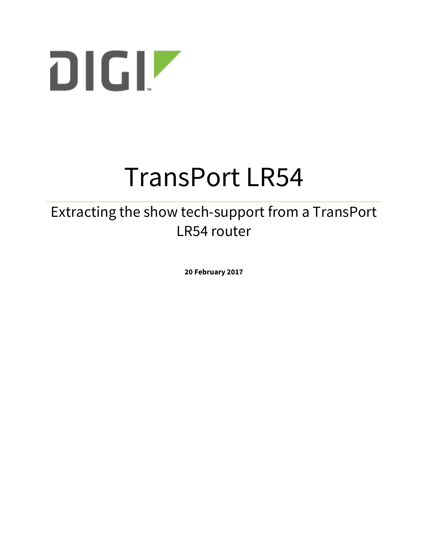

# TransPort LR54

# Extracting the show tech-support from a TransPort LR54 router

**20 February 2017**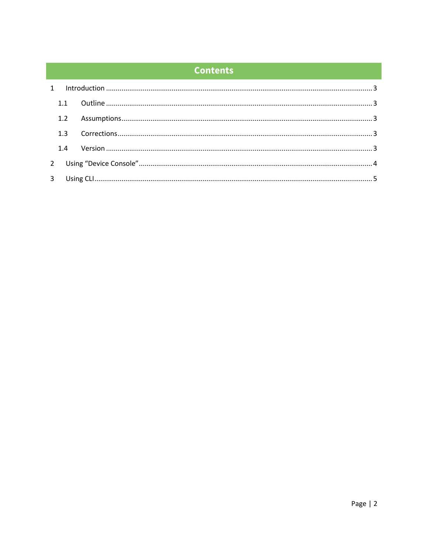# **Contents**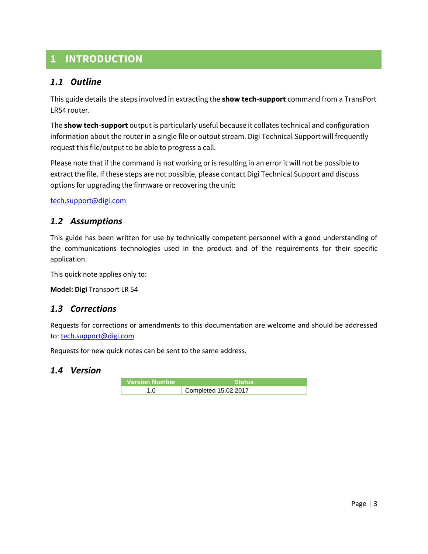# <span id="page-2-0"></span>**1 INTRODUCTION**

# <span id="page-2-1"></span>*1.1 Outline*

This guide details the steps involved in extracting the **show tech-support** command from a TransPort LR54 router.

The **show tech-support** output is particularly useful because it collates technical and configuration information about the router in a single file or output stream. Digi Technical Support will frequently request this file/output to be able to progress a call.

Please note that if the command is not working or is resulting in an error it will not be possible to extract the file. If these steps are not possible, please contact Digi Technical Support and discuss options for upgrading the firmware or recovering the unit:

[tech.support@digi.com](mailto:tech.support@digi.com)

## <span id="page-2-2"></span>*1.2 Assumptions*

This guide has been written for use by technically competent personnel with a good understanding of the communications technologies used in the product and of the requirements for their specific application.

This quick note applies only to:

**Model: Digi** Transport LR 54

### <span id="page-2-3"></span>*1.3 Corrections*

Requests for corrections or amendments to this documentation are welcome and should be addressed to: [tech.support@digi.com](mailto:tech.support@digi.com)

Requests for new quick notes can be sent to the same address.

#### <span id="page-2-4"></span>*1.4 Version*

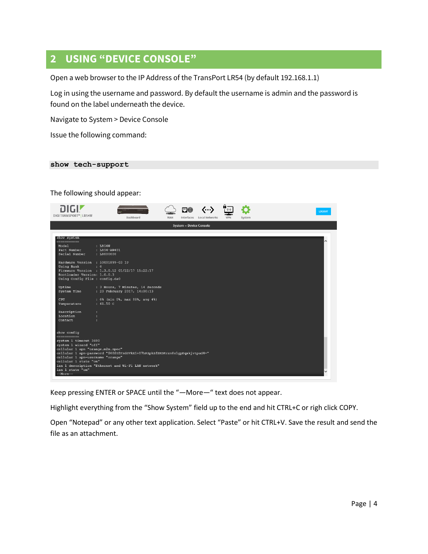# <span id="page-3-0"></span>**2 USING "DEVICE CONSOLE"**

Open a web browser to the IP Address of the TransPort LR54 (by default 192.168.1.1)

Log in using the username and password. By default the username is admin and the password is found on the label underneath the device.

Navigate to System > Device Console

Issue the following command:

#### **show tech-support**

#### The following should appear:



Keep pressing ENTER or SPACE until the "—More—" text does not appear.

Highlight everything from the "Show System" field up to the end and hit CTRL+C or righ click COPY.

Open "Notepad" or any other text application. Select "Paste" or hit CTRL+V. Save the result and send the file as an attachment.